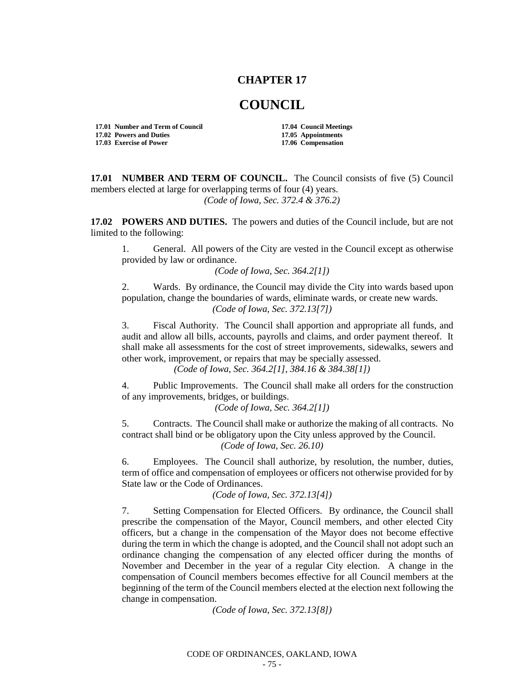## **CHAPTER 17**

## **COUNCIL**

**17.01 Number and Term of Council 17.04 Council Meetings 17.02 Powers and Duties 17.05 Appointments 17.03 Exercise of Power** 

**17.01 NUMBER AND TERM OF COUNCIL.** The Council consists of five (5) Council members elected at large for overlapping terms of four (4) years. *(Code of Iowa, Sec. 372.4 & 376.2)*

**17.02 POWERS AND DUTIES.** The powers and duties of the Council include, but are not limited to the following:

1. General. All powers of the City are vested in the Council except as otherwise provided by law or ordinance.

*(Code of Iowa, Sec. 364.2[1])*

2. Wards. By ordinance, the Council may divide the City into wards based upon population, change the boundaries of wards, eliminate wards, or create new wards. *(Code of Iowa, Sec. 372.13[7])*

3. Fiscal Authority. The Council shall apportion and appropriate all funds, and audit and allow all bills, accounts, payrolls and claims, and order payment thereof. It shall make all assessments for the cost of street improvements, sidewalks, sewers and other work, improvement, or repairs that may be specially assessed.

*(Code of Iowa, Sec. 364.2[1], 384.16 & 384.38[1])*

4. Public Improvements. The Council shall make all orders for the construction of any improvements, bridges, or buildings.

*(Code of Iowa, Sec. 364.2[1])*

5. Contracts. The Council shall make or authorize the making of all contracts. No contract shall bind or be obligatory upon the City unless approved by the Council. *(Code of Iowa, Sec. 26.10)*

6. Employees. The Council shall authorize, by resolution, the number, duties, term of office and compensation of employees or officers not otherwise provided for by State law or the Code of Ordinances.

*(Code of Iowa, Sec. 372.13[4])*

7. Setting Compensation for Elected Officers. By ordinance, the Council shall prescribe the compensation of the Mayor, Council members, and other elected City officers, but a change in the compensation of the Mayor does not become effective during the term in which the change is adopted, and the Council shall not adopt such an ordinance changing the compensation of any elected officer during the months of November and December in the year of a regular City election. A change in the compensation of Council members becomes effective for all Council members at the beginning of the term of the Council members elected at the election next following the change in compensation.

*(Code of Iowa, Sec. 372.13[8])*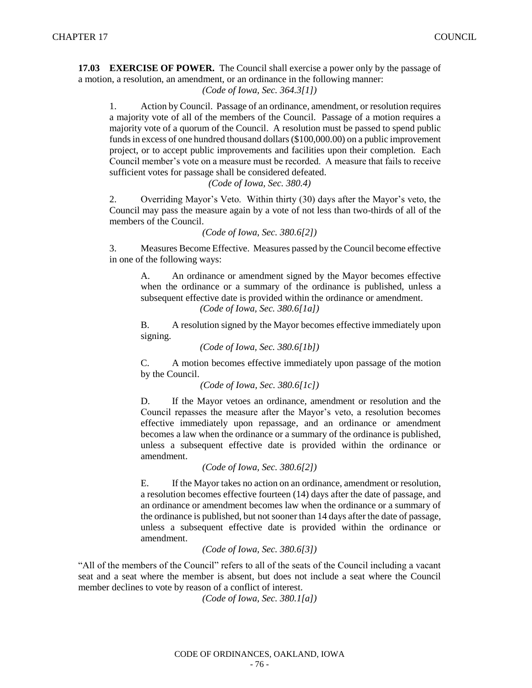**17.03 EXERCISE OF POWER.** The Council shall exercise a power only by the passage of a motion, a resolution, an amendment, or an ordinance in the following manner:

## *(Code of Iowa, Sec. 364.3[1])*

1. Action by Council. Passage of an ordinance, amendment, or resolution requires a majority vote of all of the members of the Council. Passage of a motion requires a majority vote of a quorum of the Council. A resolution must be passed to spend public funds in excess of one hundred thousand dollars (\$100,000.00) on a public improvement project, or to accept public improvements and facilities upon their completion. Each Council member's vote on a measure must be recorded. A measure that fails to receive sufficient votes for passage shall be considered defeated.

## *(Code of Iowa, Sec. 380.4)*

2. Overriding Mayor's Veto. Within thirty (30) days after the Mayor's veto, the Council may pass the measure again by a vote of not less than two-thirds of all of the members of the Council.

*(Code of Iowa, Sec. 380.6[2])*

3. Measures Become Effective. Measures passed by the Council become effective in one of the following ways:

A. An ordinance or amendment signed by the Mayor becomes effective when the ordinance or a summary of the ordinance is published, unless a subsequent effective date is provided within the ordinance or amendment. *(Code of Iowa, Sec. 380.6[1a])*

B. A resolution signed by the Mayor becomes effective immediately upon signing.

```
(Code of Iowa, Sec. 380.6[1b])
```
C. A motion becomes effective immediately upon passage of the motion by the Council.

```
(Code of Iowa, Sec. 380.6[1c])
```
D. If the Mayor vetoes an ordinance, amendment or resolution and the Council repasses the measure after the Mayor's veto, a resolution becomes effective immediately upon repassage, and an ordinance or amendment becomes a law when the ordinance or a summary of the ordinance is published, unless a subsequent effective date is provided within the ordinance or amendment.

```
(Code of Iowa, Sec. 380.6[2])
```
E. If the Mayor takes no action on an ordinance, amendment or resolution, a resolution becomes effective fourteen (14) days after the date of passage, and an ordinance or amendment becomes law when the ordinance or a summary of the ordinance is published, but not sooner than 14 days after the date of passage, unless a subsequent effective date is provided within the ordinance or amendment.

```
(Code of Iowa, Sec. 380.6[3])
```
"All of the members of the Council" refers to all of the seats of the Council including a vacant seat and a seat where the member is absent, but does not include a seat where the Council member declines to vote by reason of a conflict of interest.

*(Code of Iowa, Sec. 380.1[a])*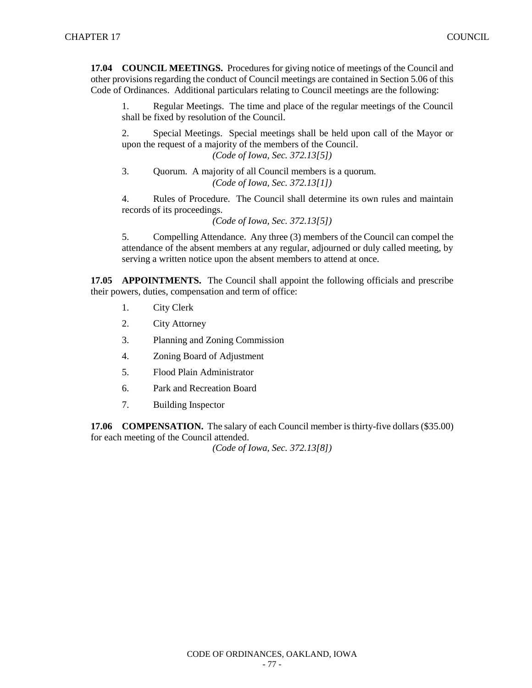**17.04 COUNCIL MEETINGS.** Procedures for giving notice of meetings of the Council and other provisions regarding the conduct of Council meetings are contained in Section 5.06 of this Code of Ordinances. Additional particulars relating to Council meetings are the following:

1. Regular Meetings. The time and place of the regular meetings of the Council shall be fixed by resolution of the Council.

2. Special Meetings. Special meetings shall be held upon call of the Mayor or upon the request of a majority of the members of the Council.

*(Code of Iowa, Sec. 372.13[5])*

3. Quorum. A majority of all Council members is a quorum. *(Code of Iowa, Sec. 372.13[1])*

4. Rules of Procedure. The Council shall determine its own rules and maintain records of its proceedings.

*(Code of Iowa, Sec. 372.13[5])*

5. Compelling Attendance. Any three (3) members of the Council can compel the attendance of the absent members at any regular, adjourned or duly called meeting, by serving a written notice upon the absent members to attend at once.

**17.05 APPOINTMENTS.** The Council shall appoint the following officials and prescribe their powers, duties, compensation and term of office:

- 1. City Clerk
- 2. City Attorney
- 3. Planning and Zoning Commission
- 4. Zoning Board of Adjustment
- 5. Flood Plain Administrator
- 6. Park and Recreation Board
- 7. Building Inspector

**17.06 COMPENSATION.** The salary of each Council member is thirty-five dollars (\$35.00) for each meeting of the Council attended.

*(Code of Iowa, Sec. 372.13[8])*